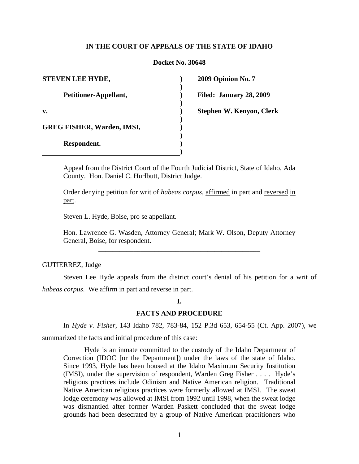# **IN THE COURT OF APPEALS OF THE STATE OF IDAHO**

### **Docket No. 30648**

**) ) ) ) ) ) ) ) ) )**

| STEVEN LEE HYDE,                  |
|-----------------------------------|
| Petitioner-Appellant,             |
| v.                                |
| <b>GREG FISHER, Warden, IMSI,</b> |
| Respondent.                       |

**2009 Opinion No. 7** 

**Filed: January 28, 2009** 

**Stephen W. Kenyon, Clerk** 

Appeal from the District Court of the Fourth Judicial District, State of Idaho, Ada County. Hon. Daniel C. Hurlbutt, District Judge.

Order denying petition for writ of *habeas corpus*, affirmed in part and reversed in part.

Steven L. Hyde, Boise, pro se appellant.

Hon. Lawrence G. Wasden, Attorney General; Mark W. Olson, Deputy Attorney General, Boise, for respondent.

\_\_\_\_\_\_\_\_\_\_\_\_\_\_\_\_\_\_\_\_\_\_\_\_\_\_\_\_\_\_\_\_\_\_\_\_\_\_\_\_\_\_\_\_\_\_

## GUTIERREZ, Judge

 Steven Lee Hyde appeals from the district court's denial of his petition for a writ of *habeas corpus*. We affirm in part and reverse in part.

### **I.**

# **FACTS AND PROCEDURE**

In *Hyde v. Fisher*, 143 Idaho 782, 783-84, 152 P.3d 653, 654-55 (Ct. App. 2007), we

summarized the facts and initial procedure of this case:

Hyde is an inmate committed to the custody of the Idaho Department of Correction (IDOC [or the Department]) under the laws of the state of Idaho. Since 1993, Hyde has been housed at the Idaho Maximum Security Institution (IMSI), under the supervision of respondent, Warden Greg Fisher . . . . Hyde's religious practices include Odinism and Native American religion. Traditional Native American religious practices were formerly allowed at IMSI. The sweat lodge ceremony was allowed at IMSI from 1992 until 1998, when the sweat lodge was dismantled after former Warden Paskett concluded that the sweat lodge grounds had been desecrated by a group of Native American practitioners who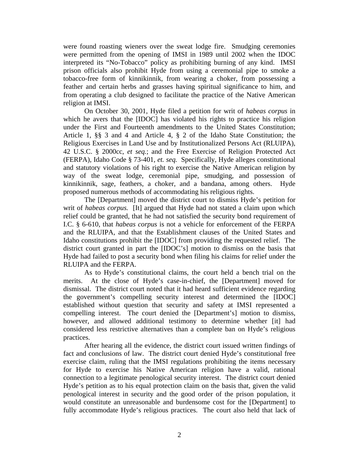were found roasting wieners over the sweat lodge fire. Smudging ceremonies were permitted from the opening of IMSI in 1989 until 2002 when the IDOC interpreted its "No-Tobacco" policy as prohibiting burning of any kind. IMSI prison officials also prohibit Hyde from using a ceremonial pipe to smoke a tobacco-free form of kinnikinnik, from wearing a choker, from possessing a feather and certain herbs and grasses having spiritual significance to him, and from operating a club designed to facilitate the practice of the Native American religion at IMSI.

On October 30, 2001, Hyde filed a petition for writ of *habeas corpus* in which he avers that the [IDOC] has violated his rights to practice his religion under the First and Fourteenth amendments to the United States Constitution; Article 1, §§ 3 and 4 and Article 4, § 2 of the Idaho State Constitution; the Religious Exercises in Land Use and by Institutionalized Persons Act (RLUIPA), 42 U.S.C. § 2000cc, *et seq.*; and the Free Exercise of Religion Protected Act (FERPA), Idaho Code § 73-401, *et. seq.* Specifically, Hyde alleges constitutional and statutory violations of his right to exercise the Native American religion by way of the sweat lodge, ceremonial pipe, smudging, and possession of kinnikinnik, sage, feathers, a choker, and a bandana, among others. Hyde proposed numerous methods of accommodating his religious rights.

The [Department] moved the district court to dismiss Hyde's petition for writ of *habeas corpus.* [It] argued that Hyde had not stated a claim upon which relief could be granted, that he had not satisfied the security bond requirement of I.C. § 6-610, that *habeas corpus* is not a vehicle for enforcement of the FERPA and the RLUIPA, and that the Establishment clauses of the United States and Idaho constitutions prohibit the [IDOC] from providing the requested relief. The district court granted in part the [IDOC's] motion to dismiss on the basis that Hyde had failed to post a security bond when filing his claims for relief under the RLUIPA and the FERPA.

As to Hyde's constitutional claims, the court held a bench trial on the merits. At the close of Hyde's case-in-chief, the [Department] moved for dismissal. The district court noted that it had heard sufficient evidence regarding the government's compelling security interest and determined the [IDOC] established without question that security and safety at IMSI represented a compelling interest. The court denied the [Department's] motion to dismiss, however, and allowed additional testimony to determine whether [it] had considered less restrictive alternatives than a complete ban on Hyde's religious practices.

After hearing all the evidence, the district court issued written findings of fact and conclusions of law. The district court denied Hyde's constitutional free exercise claim, ruling that the IMSI regulations prohibiting the items necessary for Hyde to exercise his Native American religion have a valid, rational connection to a legitimate penological security interest. The district court denied Hyde's petition as to his equal protection claim on the basis that, given the valid penological interest in security and the good order of the prison population, it would constitute an unreasonable and burdensome cost for the [Department] to fully accommodate Hyde's religious practices. The court also held that lack of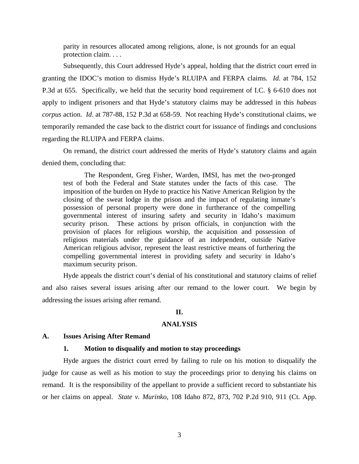parity in resources allocated among religions, alone, is not grounds for an equal protection claim. . . .

 Subsequently, this Court addressed Hyde's appeal, holding that the district court erred in granting the IDOC's motion to dismiss Hyde's RLUIPA and FERPA claims. *Id*. at 784, 152 P.3d at 655. Specifically, we held that the security bond requirement of I.C. § 6-610 does not apply to indigent prisoners and that Hyde's statutory claims may be addressed in this *habeas corpus* action. *Id*. at 787-88, 152 P.3d at 658-59. Not reaching Hyde's constitutional claims, we temporarily remanded the case back to the district court for issuance of findings and conclusions regarding the RLUIPA and FERPA claims.

 On remand, the district court addressed the merits of Hyde's statutory claims and again denied them, concluding that:

 The Respondent, Greg Fisher, Warden, IMSI, has met the two-pronged test of both the Federal and State statutes under the facts of this case. The imposition of the burden on Hyde to practice his Native American Religion by the closing of the sweat lodge in the prison and the impact of regulating inmate's possession of personal property were done in furtherance of the compelling governmental interest of insuring safety and security in Idaho's maximum security prison. These actions by prison officials, in conjunction with the provision of places for religious worship, the acquisition and possession of religious materials under the guidance of an independent, outside Native American religious advisor, represent the least restrictive means of furthering the compelling governmental interest in providing safety and security in Idaho's maximum security prison.

 Hyde appeals the district court's denial of his constitutional and statutory claims of relief and also raises several issues arising after our remand to the lower court. We begin by addressing the issues arising after remand.

# **II.**

### **ANALYSIS**

### **A. Issues Arising After Remand**

### **1. Motion to disqualify and motion to stay proceedings**

 Hyde argues the district court erred by failing to rule on his motion to disqualify the judge for cause as well as his motion to stay the proceedings prior to denying his claims on remand. It is the responsibility of the appellant to provide a sufficient record to substantiate his or her claims on appeal. *State v. Murinko*, 108 Idaho 872, 873, 702 P.2d 910, 911 (Ct. App.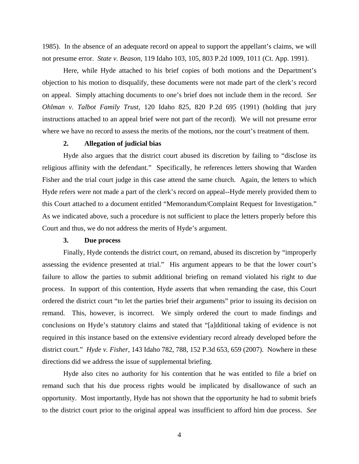1985). In the absence of an adequate record on appeal to support the appellant's claims, we will not presume error. *State v. Beason*, 119 Idaho 103, 105, 803 P.2d 1009, 1011 (Ct. App. 1991).

Here, while Hyde attached to his brief copies of both motions and the Department's objection to his motion to disqualify, these documents were not made part of the clerk's record on appeal. Simply attaching documents to one's brief does not include them in the record. *See Ohlman v. Talbot Family Trust*, 120 Idaho 825, 820 P.2d 695 (1991) (holding that jury instructions attached to an appeal brief were not part of the record). We will not presume error where we have no record to assess the merits of the motions, nor the court's treatment of them.

### **2. Allegation of judicial bias**

 Hyde also argues that the district court abused its discretion by failing to "disclose its religious affinity with the defendant." Specifically, he references letters showing that Warden Fisher and the trial court judge in this case attend the same church. Again, the letters to which Hyde refers were not made a part of the clerk's record on appeal--Hyde merely provided them to this Court attached to a document entitled "Memorandum/Complaint Request for Investigation." As we indicated above, such a procedure is not sufficient to place the letters properly before this Court and thus, we do not address the merits of Hyde's argument.

# **3. Due process**

 Finally, Hyde contends the district court, on remand, abused its discretion by "improperly assessing the evidence presented at trial." His argument appears to be that the lower court's failure to allow the parties to submit additional briefing on remand violated his right to due process. In support of this contention, Hyde asserts that when remanding the case, this Court ordered the district court "to let the parties brief their arguments" prior to issuing its decision on remand. This, however, is incorrect. We simply ordered the court to made findings and conclusions on Hyde's statutory claims and stated that "[a]dditional taking of evidence is not required in this instance based on the extensive evidentiary record already developed before the district court." *Hyde v. Fisher*, 143 Idaho 782, 788, 152 P.3d 653, 659 (2007). Nowhere in these directions did we address the issue of supplemental briefing.

 Hyde also cites no authority for his contention that he was entitled to file a brief on remand such that his due process rights would be implicated by disallowance of such an opportunity. Most importantly, Hyde has not shown that the opportunity he had to submit briefs to the district court prior to the original appeal was insufficient to afford him due process. *See*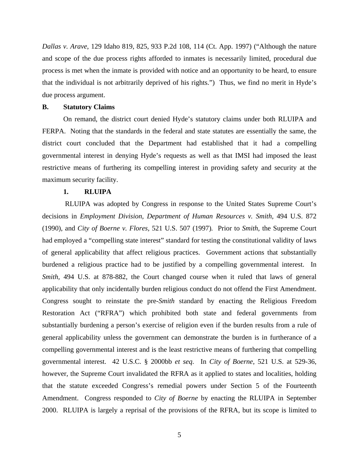*Dallas v. Arave*, 129 Idaho 819, 825, 933 P.2d 108, 114 (Ct. App. 1997) ("Although the nature and scope of the due process rights afforded to inmates is necessarily limited, procedural due process is met when the inmate is provided with notice and an opportunity to be heard, to ensure that the individual is not arbitrarily deprived of his rights.") Thus, we find no merit in Hyde's due process argument.

### **B. Statutory Claims**

 On remand, the district court denied Hyde's statutory claims under both RLUIPA and FERPA. Noting that the standards in the federal and state statutes are essentially the same, the district court concluded that the Department had established that it had a compelling governmental interest in denying Hyde's requests as well as that IMSI had imposed the least restrictive means of furthering its compelling interest in providing safety and security at the maximum security facility.

### **1. RLUIPA**

 RLUIPA was adopted by Congress in response to the United States Supreme Court's decisions in *Employment Division, Department of Human Resources v. Smith,* [494 U.S. 872](http://web2.westlaw.com/find/default.wl?tf=-1&rs=WLW8.09&serialnum=1990064132&fn=_top&sv=Split&tc=-1&findtype=Y&ordoc=2006699983&db=708&vr=2.0&rp=%2ffind%2fdefault.wl&mt=Idaho)  [\(1990\),](http://web2.westlaw.com/find/default.wl?tf=-1&rs=WLW8.09&serialnum=1990064132&fn=_top&sv=Split&tc=-1&findtype=Y&ordoc=2006699983&db=708&vr=2.0&rp=%2ffind%2fdefault.wl&mt=Idaho) and *City of Boerne v. Flores,* 521 U.S. 507 (1997)*.* Prior to *Smith,* the Supreme Court had employed a "compelling state interest" standard for testing the constitutional validity of laws of general applicability that affect religious practices. Government actions that substantially burdened a religious practice had to be justified by a compelling governmental interest. In *Smith*, 494 U.S. at 878-882, the Court changed course when it ruled that laws of general applicability that only incidentally burden religious conduct do not offend the First Amendment. Congress sought to reinstate the pre-*Smith* standard by enacting the Religious Freedom Restoration Act ("RFRA") which prohibited both state and federal governments from substantially burdening a person's exercise of religion even if the burden results from a rule of general applicability unless the government can demonstrate the burden is in furtherance of a compelling governmental interest and is the least restrictive means of furthering that compelling governmental interest. [42 U.S.C. § 2000bb](http://web2.westlaw.com/find/default.wl?tf=-1&rs=WLW8.09&fn=_top&sv=Split&tc=-1&docname=42USCAS2000BB&ordoc=2006699983&findtype=L&db=1000546&vr=2.0&rp=%2ffind%2fdefault.wl&mt=Idaho) *et seq*. In *City of Boerne*, 521 U.S. at 529-36, however, the Supreme Court invalidated the RFRA as it applied to states and localities, holding that the statute exceeded Congress's remedial powers under Section 5 of the Fourteenth Amendment. Congress responded to *City of Boerne* by enacting the RLUIPA in September 2000. RLUIPA is largely a reprisal of the provisions of the RFRA, but its scope is limited to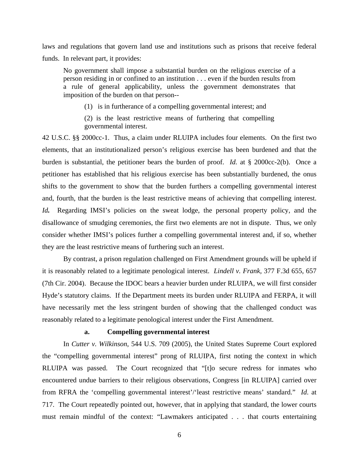laws and regulations that govern land use and institutions such as prisons that receive federal funds. In relevant part, it provides:

No government shall impose a substantial burden on the religious exercise of a person residing in or confined to an institution . . . even if the burden results from a rule of general applicability, unless the government demonstrates that imposition of the burden on that person--

(1) is in furtherance of a compelling governmental interest; and

(2) is the least restrictive means of furthering that compelling governmental interest.

42 U.S.C. §§ 2000cc-1. Thus, a claim under RLUIPA includes four elements. On the first two elements, that an institutionalized person's religious exercise has been burdened and that the burden is substantial, the petitioner bears the burden of proof. *Id.* at § 2000cc-2(b). Once a petitioner has established that his religious exercise has been substantially burdened, the onus shifts to the government to show that the burden furthers a compelling governmental interest and, fourth, that the burden is the least restrictive means of achieving that compelling interest. *Id*. Regarding IMSI's policies on the sweat lodge, the personal property policy, and the disallowance of smudging ceremonies, the first two elements are not in dispute. Thus, we only consider whether IMSI's polices further a compelling governmental interest and, if so, whether they are the least restrictive means of furthering such an interest.

 By contrast, a prison regulation challenged on First Amendment grounds will be upheld if it is reasonably related to a legitimate penological interest. *Lindell v. Frank,* [377 F.3d 655, 657](http://web2.westlaw.com/find/default.wl?tf=-1&rs=WLW8.09&referencepositiontype=S&serialnum=2004710988&fn=_top&sv=Split&referenceposition=657&findtype=Y&tc=-1&ordoc=2010249231&db=506&vr=2.0&rp=%2ffind%2fdefault.wl&mt=Idaho)  [\(7th Cir. 2004\).](http://web2.westlaw.com/find/default.wl?tf=-1&rs=WLW8.09&referencepositiontype=S&serialnum=2004710988&fn=_top&sv=Split&referenceposition=657&findtype=Y&tc=-1&ordoc=2010249231&db=506&vr=2.0&rp=%2ffind%2fdefault.wl&mt=Idaho) Because the IDOC bears a heavier burden under RLUIPA, we will first consider Hyde's statutory claims. If the Department meets its burden under RLUIPA and FERPA, it will have necessarily met the less stringent burden of showing that the challenged conduct was reasonably related to a legitimate penological interest under the First Amendment.

### **a. Compelling governmental interest**

In *Cutter v. Wilkinson*, 544 U.S. 709 (2005), the United States Supreme Court explored the "compelling governmental interest" prong of RLUIPA, first noting the context in which RLUIPA was passed. The Court recognized that "[t]o secure redress for inmates who encountered undue barriers to their religious observations, Congress [in RLUIPA] carried over from RFRA the 'compelling governmental interest'/'least restrictive means' standard." *Id*. at 717. The Court repeatedly pointed out, however, that in applying that standard, the lower courts must remain mindful of the context: "Lawmakers anticipated . . . that courts entertaining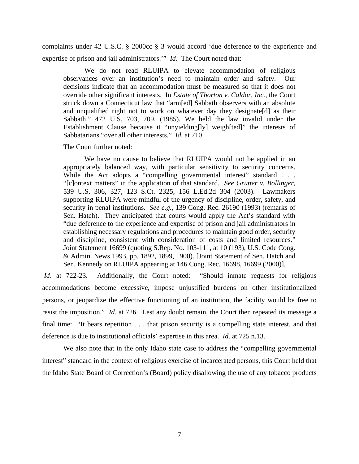complaints under 42 U.S.C. § 2000cc § 3 would accord 'due deference to the experience and expertise of prison and jail administrators.'" *Id*. The Court noted that:

We do not read RLUIPA to elevate accommodation of religious observances over an institution's need to maintain order and safety. Our decisions indicate that an accommodation must be measured so that it does not override other significant interests. In *Estate of Thorton v. [Caldor, Inc.,](http://web2.westlaw.com/find/default.wl?tf=-1&rs=WLW8.09&serialnum=1985132436&fn=_top&sv=Split&tc=-1&findtype=Y&ordoc=2006699983&vr=2.0&rp=%2ffind%2fdefault.wl&mt=Idaho)* the Court struck down a Connecticut law that "arm[ed] Sabbath observers with an absolute and unqualified right not to work on whatever day they designate[d] as their Sabbath." [472 U.S. 703, 709,](http://web2.westlaw.com/find/default.wl?tf=-1&rs=WLW8.09&serialnum=1985132436&fn=_top&sv=Split&tc=-1&findtype=Y&ordoc=2006699983&db=708&vr=2.0&rp=%2ffind%2fdefault.wl&mt=Idaho) (1985). We held the law invalid under the Establishment Clause because it "unyielding[ly] weigh[ted]" the interests of Sabbatarians "over all other interests." *Id.* [at 710.](http://web2.westlaw.com/find/default.wl?tf=-1&rs=WLW8.09&serialnum=1985132436&fn=_top&sv=Split&tc=-1&findtype=Y&ordoc=2006699983&db=708&vr=2.0&rp=%2ffind%2fdefault.wl&mt=Idaho) 

The Court further noted:

 We have no cause to believe that RLUIPA would not be applied in an appropriately balanced way, with particular sensitivity to security concerns. While the Act adopts a "compelling governmental interest" standard . . . "[c]ontext matters" in the application of that standard. *See Grutter v. Bollinger*, 539 U.S. 306, 327, 123 S.Ct. 2325, 156 L.Ed.2d 304 (2003). Lawmakers supporting RLUIPA were mindful of the urgency of discipline, order, safety, and security in penal institutions. *See e.g.*, 139 Cong. Rec. 26190 (1993) (remarks of Sen. Hatch). They anticipated that courts would apply the Act's standard with "due deference to the experience and expertise of prison and jail administrators in establishing necessary regulations and procedures to maintain good order, security and discipline, consistent with consideration of costs and limited resources." Joint Statement 16699 (quoting S.Rep. No. 103-111, at 10 (193), U.S. Code Cong. & Admin. News 1993, pp. 1892, 1899, 1900). [Joint Statement of Sen. Hatch and Sen. Kennedy on RLUIPA appearing at 146 Cong. Rec. 16698, 16699 (2000)].

*Id.* at 722-23. Additionally, the Court noted: "Should inmate requests for religious accommodations become excessive, impose unjustified burdens on other institutionalized persons, or jeopardize the effective functioning of an institution, the facility would be free to resist the imposition." *[Id.](http://www.westlaw.com/Find/Default.wl?rs=dfa1.0&vr=2.0&FindType=Y&SerialNum=2006699983)* [at 726.](http://www.westlaw.com/Find/Default.wl?rs=dfa1.0&vr=2.0&FindType=Y&SerialNum=2006699983) Lest any doubt remain, the Court then repeated its message a final time: "It bears repetition . . . that prison security is a compelling state interest, and that deference is due to institutional officials' expertise in this area. *Id*. at 725 n.13.

 We also note that in the only Idaho state case to address the "compelling governmental interest" standard in the context of religious exercise of incarcerated persons, this Court held that the Idaho State Board of Correction's (Board) policy disallowing the use of any tobacco products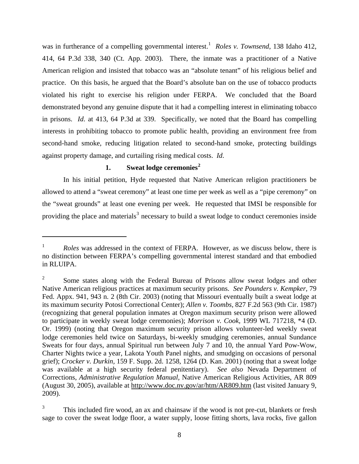was in furtherance of a compelling governmental interest.<sup>[1](#page-7-0)</sup> Roles v. Townsend, 138 Idaho 412, 414, 64 P.3d 338, 340 (Ct. App. 2003). There, the inmate was a practitioner of a Native American religion and insisted that tobacco was an "absolute tenant" of his religious belief and practice. On this basis, he argued that the Board's absolute ban on the use of tobacco products violated his right to exercise his religion under FERPA. We concluded that the Board demonstrated beyond any genuine dispute that it had a compelling interest in eliminating tobacco in prisons. *Id*. at 413, 64 P.3d at 339. Specifically, we noted that the Board has compelling interests in prohibiting tobacco to promote public health, providing an environment free from second-hand smoke, reducing litigation related to second-hand smoke, protecting buildings against property damage, and curtailing rising medical costs. *Id*.

# **1. Sweat lodge ceremonies[2](#page-7-1)**

 $\overline{a}$ 

In his initial petition, Hyde requested that Native American religion practitioners be allowed to attend a "sweat ceremony" at least one time per week as well as a "pipe ceremony" on the "sweat grounds" at least one evening per week. He requested that IMSI be responsible for providing the place and materials<sup>[3](#page-7-2)</sup> necessary to build a sweat lodge to conduct ceremonies inside

<span id="page-7-0"></span><sup>1</sup> *Roles* was addressed in the context of FERPA. However, as we discuss below, there is no distinction between FERPA's compelling governmental interest standard and that embodied in RLUIPA.

<span id="page-7-1"></span><sup>2</sup> Some states along with the Federal Bureau of Prisons allow sweat lodges and other Native American religious practices at maximum security prisons. *See Pounders v. Kempker,* 79 Fed. Appx. 941, 943 n. 2 (8th Cir. 2003) (noting that Missouri eventually built a sweat lodge at its maximum security Potosi Correctional Center); *Allen v. Toombs,* 827 F.2d 563 (9th Cir. 1987) (recognizing that general population inmates at Oregon maximum security prison were allowed to participate in weekly sweat lodge ceremonies); *Morrison v. Cook,* 1999 WL 717218, \*4 (D. Or. 1999) (noting that Oregon maximum security prison allows volunteer-led weekly sweat lodge ceremonies held twice on Saturdays, bi-weekly smudging ceremonies, annual Sundance Sweats for four days, annual Spiritual run between July 7 and 10, the annual Yard Pow-Wow, Charter Nights twice a year, Lakota Youth Panel nights, and smudging on occasions of personal grief); *[Crocker v. Durkin,](http://www.westlaw.com/Find/Default.wl?rs=dfa1.0&vr=2.0&DB=4637&FindType=Y&ReferencePositionType=S&SerialNum=2001717528&ReferencePosition=1264)* [159 F. Supp. 2d. 1258, 1264 \(D. Kan. 2001\)](http://www.westlaw.com/Find/Default.wl?rs=dfa1.0&vr=2.0&DB=4637&FindType=Y&ReferencePositionType=S&SerialNum=2001717528&ReferencePosition=1264) (noting that a sweat lodge was available at a high security federal [penitentiary\)](http://www.westlaw.com/Find/Default.wl?rs=dfa1.0&vr=2.0&DB=345&FindType=Y&ReferencePositionType=S&SerialNum=1987002235&ReferencePosition=1376). *See also* Nevada Department of Corrections, *Administrative Regulation Manual,* Native American Religious Activities, AR 809 (August 30, 2005), available at <http://www.doc.nv.gov/ar/htm/AR809.htm>(last visited January 9, 2009).

<span id="page-7-2"></span><sup>3</sup> This included fire wood, an ax and chainsaw if the wood is not pre-cut, blankets or fresh sage to cover the sweat lodge floor, a water supply, loose fitting shorts, lava rocks, five gallon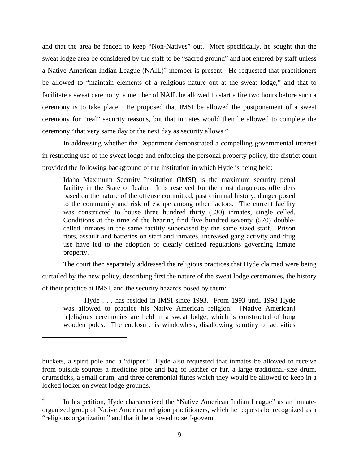and that the area be fenced to keep "Non-Natives" out. More specifically, he sought that the sweat lodge area be considered by the staff to be "sacred ground" and not entered by staff unless a Native American Indian League  $(NAIL)^4$  $(NAIL)^4$  member is present. He requested that practitioners be allowed to "maintain elements of a religious nature out at the sweat lodge," and that to facilitate a sweat ceremony, a member of NAIL be allowed to start a fire two hours before such a ceremony is to take place. He proposed that IMSI be allowed the postponement of a sweat ceremony for "real" security reasons, but that inmates would then be allowed to complete the ceremony "that very same day or the next day as security allows."

In addressing whether the Department demonstrated a compelling governmental interest in restricting use of the sweat lodge and enforcing the personal property policy, the district court provided the following background of the institution in which Hyde is being held:

Idaho Maximum Security Institution (IMSI) is the maximum security penal facility in the State of Idaho. It is reserved for the most dangerous offenders based on the nature of the offense committed, past criminal history, danger posed to the community and risk of escape among other factors. The current facility was constructed to house three hundred thirty (330) inmates, single celled. Conditions at the time of the hearing find five hundred seventy (570) doublecelled inmates in the same facility supervised by the same sized staff. Prison riots, assault and batteries on staff and inmates, increased gang activity and drug use have led to the adoption of clearly defined regulations governing inmate property.

The court then separately addressed the religious practices that Hyde claimed were being curtailed by the new policy, describing first the nature of the sweat lodge ceremonies, the history of their practice at IMSI, and the security hazards posed by them:

Hyde . . . has resided in IMSI since 1993. From 1993 until 1998 Hyde was allowed to practice his Native American religion. [Native American] [r]eligious ceremonies are held in a sweat lodge, which is constructed of long wooden poles. The enclosure is windowless, disallowing scrutiny of activities

1

buckets, a spirit pole and a "dipper." Hyde also requested that inmates be allowed to receive from outside sources a medicine pipe and bag of leather or fur, a large traditional-size drum, drumsticks, a small drum, and three ceremonial flutes which they would be allowed to keep in a locked locker on sweat lodge grounds.

<span id="page-8-0"></span><sup>4</sup> In his petition, Hyde characterized the "Native American Indian League" as an inmateorganized group of Native American religion practitioners, which he requests be recognized as a "religious organization" and that it be allowed to self-govern.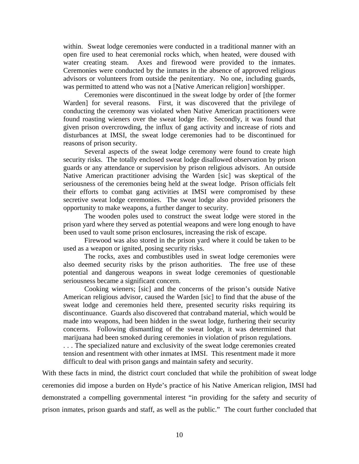within. Sweat lodge ceremonies were conducted in a traditional manner with an open fire used to heat ceremonial rocks which, when heated, were doused with water creating steam. Axes and firewood were provided to the inmates. Ceremonies were conducted by the inmates in the absence of approved religious advisors or volunteers from outside the penitentiary. No one, including guards, was permitted to attend who was not a [Native American religion] worshipper.

 Ceremonies were discontinued in the sweat lodge by order of [the former Warden] for several reasons. First, it was discovered that the privilege of conducting the ceremony was violated when Native American practitioners were found roasting wieners over the sweat lodge fire. Secondly, it was found that given prison overcrowding, the influx of gang activity and increase of riots and disturbances at IMSI, the sweat lodge ceremonies had to be discontinued for reasons of prison security.

 Several aspects of the sweat lodge ceremony were found to create high security risks. The totally enclosed sweat lodge disallowed observation by prison guards or any attendance or supervision by prison religious advisors. An outside Native American practitioner advising the Warden [sic] was skeptical of the seriousness of the ceremonies being held at the sweat lodge. Prison officials felt their efforts to combat gang activities at IMSI were compromised by these secretive sweat lodge ceremonies. The sweat lodge also provided prisoners the opportunity to make weapons, a further danger to security.

 The wooden poles used to construct the sweat lodge were stored in the prison yard where they served as potential weapons and were long enough to have been used to vault some prison enclosures, increasing the risk of escape.

 Firewood was also stored in the prison yard where it could be taken to be used as a weapon or ignited, posing security risks.

 The rocks, axes and combustibles used in sweat lodge ceremonies were also deemed security risks by the prison authorities. The free use of these potential and dangerous weapons in sweat lodge ceremonies of questionable seriousness became a significant concern.

 Cooking wieners; [sic] and the concerns of the prison's outside Native American religious advisor, caused the Warden [sic] to find that the abuse of the sweat lodge and ceremonies held there, presented security risks requiring its discontinuance. Guards also discovered that contraband material, which would be made into weapons, had been hidden in the sweat lodge, furthering their security concerns. Following dismantling of the sweat lodge, it was determined that marijuana had been smoked during ceremonies in violation of prison regulations.

. . . The specialized nature and exclusivity of the sweat lodge ceremonies created tension and resentment with other inmates at IMSI. This resentment made it more difficult to deal with prison gangs and maintain safety and security.

With these facts in mind, the district court concluded that while the prohibition of sweat lodge ceremonies did impose a burden on Hyde's practice of his Native American religion, IMSI had demonstrated a compelling governmental interest "in providing for the safety and security of prison inmates, prison guards and staff, as well as the public." The court further concluded that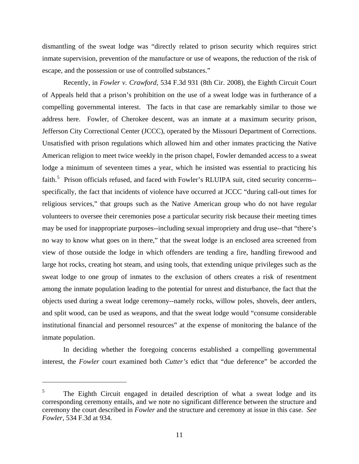dismantling of the sweat lodge was "directly related to prison security which requires strict inmate supervision, prevention of the manufacture or use of weapons, the reduction of the risk of escape, and the possession or use of controlled substances."

Recently, in *Fowler v. Crawford*, 534 F.3d 931 (8th Cir. 2008), the Eighth Circuit Court of Appeals held that a prison's prohibition on the use of a sweat lodge was in furtherance of a compelling governmental interest. The facts in that case are remarkably similar to those we address here. Fowler, of Cherokee descent, was an inmate at a maximum security prison, Jefferson City Correctional Center (JCCC), operated by the Missouri Department of Corrections. Unsatisfied with prison regulations which allowed him and other inmates practicing the Native American religion to meet twice weekly in the prison chapel, Fowler demanded access to a sweat lodge a minimum of seventeen times a year, which he insisted was essential to practicing his faith.<sup>[5](#page-10-0)</sup> Prison officials refused, and faced with Fowler's RLUIPA suit, cited security concerns-specifically, the fact that incidents of violence have occurred at JCCC "during call-out times for religious services," that groups such as the Native American group who do not have regular volunteers to oversee their ceremonies pose a particular security risk because their meeting times may be used for inappropriate purposes--including sexual impropriety and drug use--that "there's no way to know what goes on in there," that the sweat lodge is an enclosed area screened from view of those outside the lodge in which offenders are tending a fire, handling firewood and large hot rocks, creating hot steam, and using tools, that extending unique privileges such as the sweat lodge to one group of inmates to the exclusion of others creates a risk of resentment among the inmate population leading to the potential for unrest and disturbance, the fact that the objects used during a sweat lodge ceremony--namely rocks, willow poles, shovels, deer antlers, and split wood, can be used as weapons, and that the sweat lodge would "consume considerable institutional financial and personnel resources" at the expense of monitoring the balance of the inmate population.

 In deciding whether the foregoing concerns established a compelling governmental interest, the *Fowler* court examined both *Cutter's* edict that "due deference" be accorded the

 $\overline{a}$ 

<span id="page-10-0"></span><sup>5</sup> The Eighth Circuit engaged in detailed description of what a sweat lodge and its corresponding ceremony entails, and we note no significant difference between the structure and ceremony the court described in *Fowler* and the structure and ceremony at issue in this case. *See Fowler*, 534 F.3d at 934.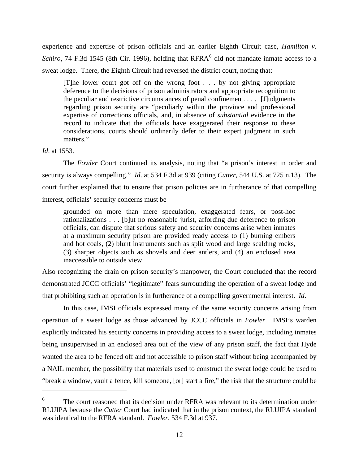experience and expertise of prison officials and an earlier Eighth Circuit case, *Hamilton v. Schiro*, 74 F.3d 1545 (8th Cir. 199[6](#page-11-0)), holding that  $RFRA<sup>6</sup>$  did not mandate inmate access to a sweat lodge. There, the Eighth Circuit had reversed the district court, noting that:

[T]he lower court got off on the wrong foot . . . by not giving appropriate deference to the decisions of prison administrators and appropriate recognition to the peculiar and restrictive circumstances of penal confinement. . . . [J]udgments regarding prison security are "peculiarly within the province and professional expertise of corrections officials, and, in absence of *substantial* evidence in the record to indicate that the officials have exaggerated their response to these considerations, courts should ordinarily defer to their expert judgment in such matters."

## *Id*. at 1553.

<u>.</u>

 The *Fowler* Court continued its analysis, noting that "a prison's interest in order and security is always compelling." *Id*. at 534 F.3d at 939 (citing *Cutter*, 544 U.S. at 725 n.13). The court further explained that to ensure that prison policies are in furtherance of that compelling interest, officials' security concerns must be

grounded on more than mere speculation, exaggerated fears, or post-hoc rationalizations . . . [b]ut no reasonable jurist, affording due deference to prison officials, can dispute that serious safety and security concerns arise when inmates at a maximum security prison are provided ready access to (1) burning embers and hot coals, (2) blunt instruments such as split wood and large scalding rocks, (3) sharper objects such as shovels and deer antlers, and (4) an enclosed area inaccessible to outside view.

Also recognizing the drain on prison security's manpower, the Court concluded that the record demonstrated JCCC officials' "legitimate" fears surrounding the operation of a sweat lodge and that prohibiting such an operation is in furtherance of a compelling governmental interest. *Id*.

 In this case, IMSI officials expressed many of the same security concerns arising from operation of a sweat lodge as those advanced by JCCC officials in *Fowler*. IMSI's warden explicitly indicated his security concerns in providing access to a sweat lodge, including inmates being unsupervised in an enclosed area out of the view of any prison staff, the fact that Hyde wanted the area to be fenced off and not accessible to prison staff without being accompanied by a NAIL member, the possibility that materials used to construct the sweat lodge could be used to "break a window, vault a fence, kill someone, [or] start a fire," the risk that the structure could be

<span id="page-11-0"></span><sup>6</sup> The court reasoned that its decision under RFRA was relevant to its determination under RLUIPA because the *Cutter* Court had indicated that in the prison context, the RLUIPA standard was identical to the RFRA standard. *Fowler*, 534 F.3d at 937.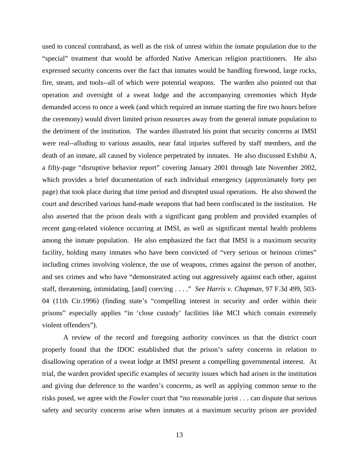used to conceal contraband, as well as the risk of unrest within the inmate population due to the "special" treatment that would be afforded Native American religion practitioners. He also expressed security concerns over the fact that inmates would be handling firewood, large rocks, fire, steam, and tools--all of which were potential weapons. The warden also pointed out that operation and oversight of a sweat lodge and the accompanying ceremonies which Hyde demanded access to once a week (and which required an inmate starting the fire two hours before the ceremony) would divert limited prison resources away from the general inmate population to the detriment of the institution. The warden illustrated his point that security concerns at IMSI were real--alluding to various assaults, near fatal injuries suffered by staff members, and the death of an inmate, all caused by violence perpetrated by inmates. He also discussed Exhibit A, a fifty-page "disruptive behavior report" covering January 2001 through late November 2002, which provides a brief documentation of each individual emergency (approximately forty per page) that took place during that time period and disrupted usual operations. He also showed the court and described various hand-made weapons that had been confiscated in the institution. He also asserted that the prison deals with a significant gang problem and provided examples of recent gang-related violence occurring at IMSI, as well as significant mental health problems among the inmate population. He also emphasized the fact that IMSI is a maximum security facility, holding many inmates who have been convicted of "very serious or heinous crimes" including crimes involving violence, the use of weapons, crimes against the person of another, and sex crimes and who have "demonstrated acting out aggressively against each other, against staff, threatening, intimidating, [and] coercing . . . ." *See [Harris v. Chapman,](http://www.westlaw.com/Find/Default.wl?rs=dfa1.0&vr=2.0&DB=506&FindType=Y&ReferencePositionType=S&SerialNum=1996218679&ReferencePosition=503)* [97 F.3d 499, 503-](http://www.westlaw.com/Find/Default.wl?rs=dfa1.0&vr=2.0&DB=506&FindType=Y&ReferencePositionType=S&SerialNum=1996218679&ReferencePosition=503) [04 \(11th Cir.1996\)](http://www.westlaw.com/Find/Default.wl?rs=dfa1.0&vr=2.0&DB=506&FindType=Y&ReferencePositionType=S&SerialNum=1996218679&ReferencePosition=503) (finding state's "compelling interest in security and order within their prisons" especially applies "in 'close custody' facilities like MCI which contain extremely violent offenders").

 A review of the record and foregoing authority convinces us that the district court properly found that the IDOC established that the prison's safety concerns in relation to disallowing operation of a sweat lodge at IMSI present a compelling governmental interest. At trial, the warden provided specific examples of security issues which had arisen in the institution and giving due deference to the warden's concerns, as well as applying common sense to the risks posed, we agree with the *Fowler* court that "no reasonable jurist . . . can dispute that serious safety and security concerns arise when inmates at a maximum security prison are provided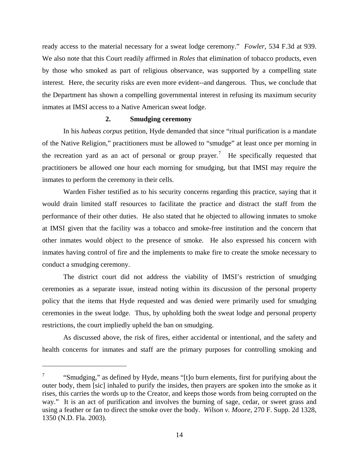ready access to the material necessary for a sweat lodge ceremony." *Fowler*, 534 F.3d at 939. We also note that this Court readily affirmed in *Roles* that elimination of tobacco products, even by those who smoked as part of religious observance, was supported by a compelling state interest. Here, the security risks are even more evident--and dangerous. Thus, we conclude that the Department has shown a compelling governmental interest in refusing its maximum security inmates at IMSI access to a Native American sweat lodge.

## **2. Smudging ceremony**

 In his *habeas corpus* petition, Hyde demanded that since "ritual purification is a mandate of the Native Religion," practitioners must be allowed to "smudge" at least once per morning in the recreation yard as an act of personal or group prayer.<sup>[7](#page-13-0)</sup> He specifically requested that practitioners be allowed one hour each morning for smudging, but that IMSI may require the inmates to perform the ceremony in their cells.

 Warden Fisher testified as to his security concerns regarding this practice, saying that it would drain limited staff resources to facilitate the practice and distract the staff from the performance of their other duties. He also stated that he objected to allowing inmates to smoke at IMSI given that the facility was a tobacco and smoke-free institution and the concern that other inmates would object to the presence of smoke. He also expressed his concern with inmates having control of fire and the implements to make fire to create the smoke necessary to conduct a smudging ceremony.

 The district court did not address the viability of IMSI's restriction of smudging ceremonies as a separate issue, instead noting within its discussion of the personal property policy that the items that Hyde requested and was denied were primarily used for smudging ceremonies in the sweat lodge. Thus, by upholding both the sweat lodge and personal property restrictions, the court impliedly upheld the ban on smudging.

 As discussed above, the risk of fires, either accidental or intentional, and the safety and health concerns for inmates and staff are the primary purposes for controlling smoking and

 $\overline{a}$ 

<span id="page-13-0"></span><sup>7</sup> "Smudging," as defined by Hyde, means "[t]o burn elements, first for purifying about the outer body, them [sic] inhaled to purify the insides, then prayers are spoken into the smoke as it rises, this carries the words up to the Creator, and keeps those words from being corrupted on the way." It is an act of purification and involves the burning of sage, cedar, or sweet grass and using a feather or fan to direct the smoke over the body. *Wilson v. Moore*, 270 F. Supp. 2d 1328, 1350 (N.D. Fla. 2003).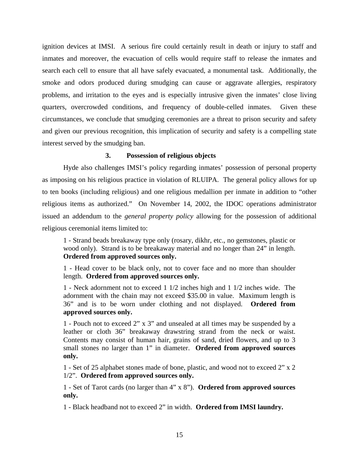ignition devices at IMSI. A serious fire could certainly result in death or injury to staff and inmates and moreover, the evacuation of cells would require staff to release the inmates and search each cell to ensure that all have safely evacuated, a monumental task. Additionally, the smoke and odors produced during smudging can cause or aggravate allergies, respiratory problems, and irritation to the eyes and is especially intrusive given the inmates' close living quarters, overcrowded conditions, and frequency of double-celled inmates. Given these circumstances, we conclude that smudging ceremonies are a threat to prison security and safety and given our previous recognition, this implication of security and safety is a compelling state interest served by the smudging ban.

# **3. Possession of religious objects**

Hyde also challenges IMSI's policy regarding inmates' possession of personal property as imposing on his religious practice in violation of RLUIPA. The general policy allows for up to ten books (including religious) and one religious medallion per inmate in addition to "other religious items as authorized." On November 14, 2002, the IDOC operations administrator issued an addendum to the *general property policy* allowing for the possession of additional religious ceremonial items limited to:

1 - Strand beads breakaway type only (rosary, dikhr, etc., no gemstones, plastic or wood only). Strand is to be breakaway material and no longer than 24" in length. **Ordered from approved sources only.** 

1 - Head cover to be black only, not to cover face and no more than shoulder length. **Ordered from approved sources only.** 

1 - Neck adornment not to exceed 1 1/2 inches high and 1 1/2 inches wide. The adornment with the chain may not exceed \$35.00 in value. Maximum length is 36" and is to be worn under clothing and not displayed. **Ordered from approved sources only.** 

1 - Pouch not to exceed 2" x 3" and unsealed at all times may be suspended by a leather or cloth 36" breakaway drawstring strand from the neck or waist. Contents may consist of human hair, grains of sand, dried flowers, and up to 3 small stones no larger than 1" in diameter. **Ordered from approved sources only.** 

1 - Set of 25 alphabet stones made of bone, plastic, and wood not to exceed 2" x 2 1/2". **Ordered from approved sources only.** 

1 - Set of Tarot cards (no larger than 4" x 8"). **Ordered from approved sources only.** 

1 - Black headband not to exceed 2" in width. **Ordered from IMSI laundry.**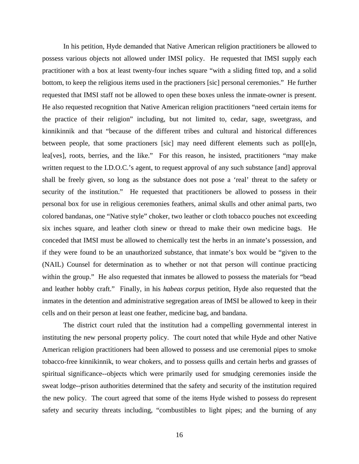In his petition, Hyde demanded that Native American religion practitioners be allowed to possess various objects not allowed under IMSI policy. He requested that IMSI supply each practitioner with a box at least twenty-four inches square "with a sliding fitted top, and a solid bottom, to keep the religious items used in the practioners [sic] personal ceremonies." He further requested that IMSI staff not be allowed to open these boxes unless the inmate-owner is present. He also requested recognition that Native American religion practitioners "need certain items for the practice of their religion" including, but not limited to, cedar, sage, sweetgrass, and kinnikinnik and that "because of the different tribes and cultural and historical differences between people, that some practioners [sic] may need different elements such as poll[e]n, lea[ves], roots, berries, and the like." For this reason, he insisted, practitioners "may make written request to the I.D.O.C.'s agent, to request approval of any such substance [and] approval shall be freely given, so long as the substance does not pose a 'real' threat to the safety or security of the institution." He requested that practitioners be allowed to possess in their personal box for use in religious ceremonies feathers, animal skulls and other animal parts, two colored bandanas, one "Native style" choker, two leather or cloth tobacco pouches not exceeding six inches square, and leather cloth sinew or thread to make their own medicine bags. He conceded that IMSI must be allowed to chemically test the herbs in an inmate's possession, and if they were found to be an unauthorized substance, that inmate's box would be "given to the (NAIL) Counsel for determination as to whether or not that person will continue practicing within the group." He also requested that inmates be allowed to possess the materials for "bead and leather hobby craft." Finally, in his *habeas corpus* petition, Hyde also requested that the inmates in the detention and administrative segregation areas of IMSI be allowed to keep in their cells and on their person at least one feather, medicine bag, and bandana.

The district court ruled that the institution had a compelling governmental interest in instituting the new personal property policy. The court noted that while Hyde and other Native American religion practitioners had been allowed to possess and use ceremonial pipes to smoke tobacco-free kinnikinnik, to wear chokers, and to possess quills and certain herbs and grasses of spiritual significance--objects which were primarily used for smudging ceremonies inside the sweat lodge--prison authorities determined that the safety and security of the institution required the new policy. The court agreed that some of the items Hyde wished to possess do represent safety and security threats including, "combustibles to light pipes; and the burning of any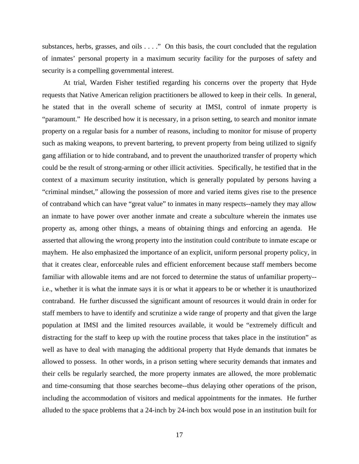substances, herbs, grasses, and oils . . . ." On this basis, the court concluded that the regulation of inmates' personal property in a maximum security facility for the purposes of safety and security is a compelling governmental interest.

At trial, Warden Fisher testified regarding his concerns over the property that Hyde requests that Native American religion practitioners be allowed to keep in their cells. In general, he stated that in the overall scheme of security at IMSI, control of inmate property is "paramount." He described how it is necessary, in a prison setting, to search and monitor inmate property on a regular basis for a number of reasons, including to monitor for misuse of property such as making weapons, to prevent bartering, to prevent property from being utilized to signify gang affiliation or to hide contraband, and to prevent the unauthorized transfer of property which could be the result of strong-arming or other illicit activities. Specifically, he testified that in the context of a maximum security institution, which is generally populated by persons having a "criminal mindset," allowing the possession of more and varied items gives rise to the presence of contraband which can have "great value" to inmates in many respects--namely they may allow an inmate to have power over another inmate and create a subculture wherein the inmates use property as, among other things, a means of obtaining things and enforcing an agenda. He asserted that allowing the wrong property into the institution could contribute to inmate escape or mayhem. He also emphasized the importance of an explicit, uniform personal property policy, in that it creates clear, enforceable rules and efficient enforcement because staff members become familiar with allowable items and are not forced to determine the status of unfamiliar property- i.e., whether it is what the inmate says it is or what it appears to be or whether it is unauthorized contraband. He further discussed the significant amount of resources it would drain in order for staff members to have to identify and scrutinize a wide range of property and that given the large population at IMSI and the limited resources available, it would be "extremely difficult and distracting for the staff to keep up with the routine process that takes place in the institution" as well as have to deal with managing the additional property that Hyde demands that inmates be allowed to possess. In other words, in a prison setting where security demands that inmates and their cells be regularly searched, the more property inmates are allowed, the more problematic and time-consuming that those searches become--thus delaying other operations of the prison, including the accommodation of visitors and medical appointments for the inmates. He further alluded to the space problems that a 24-inch by 24-inch box would pose in an institution built for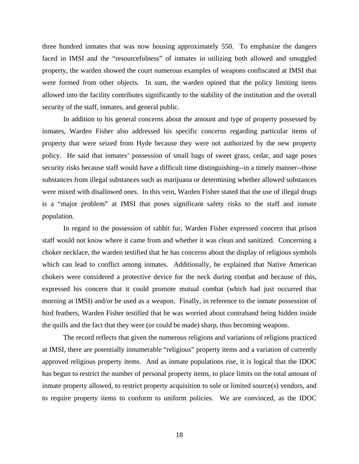three hundred inmates that was now housing approximately 550. To emphasize the dangers faced in IMSI and the "resourcefulness" of inmates in utilizing both allowed and smuggled property, the warden showed the court numerous examples of weapons confiscated at IMSI that were formed from other objects. In sum, the warden opined that the policy limiting items allowed into the facility contributes significantly to the stability of the institution and the overall security of the staff, inmates, and general public.

 In addition to his general concerns about the amount and type of property possessed by inmates, Warden Fisher also addressed his specific concerns regarding particular items of property that were seized from Hyde because they were not authorized by the new property policy. He said that inmates' possession of small bags of sweet grass, cedar, and sage poses security risks because staff would have a difficult time distinguishing--in a timely manner--those substances from illegal substances such as marijuana or determining whether allowed substances were mixed with disallowed ones. In this vein, Warden Fisher stated that the use of illegal drugs is a "major problem" at IMSI that poses significant safety risks to the staff and inmate population.

 In regard to the possession of rabbit fur, Warden Fisher expressed concern that prison staff would not know where it came from and whether it was clean and sanitized. Concerning a choker necklace, the warden testified that he has concerns about the display of religious symbols which can lead to conflict among inmates. Additionally, he explained that Native American chokers were considered a protective device for the neck during combat and because of this, expressed his concern that it could promote mutual combat (which had just occurred that morning at IMSI) and/or be used as a weapon. Finally, in reference to the inmate possession of bird feathers, Warden Fisher testified that he was worried about contraband being hidden inside the quills and the fact that they were (or could be made) sharp, thus becoming weapons.

 The record reflects that given the numerous religions and variations of religions practiced at IMSI, there are potentially innumerable "religious" property items and a variation of currently approved religious property items. And as inmate populations rise, it is logical that the IDOC has begun to restrict the number of personal property items, to place limits on the total amount of inmate property allowed, to restrict property acquisition to sole or limited source(s) vendors, and to require property items to conform to uniform policies. We are convinced, as the IDOC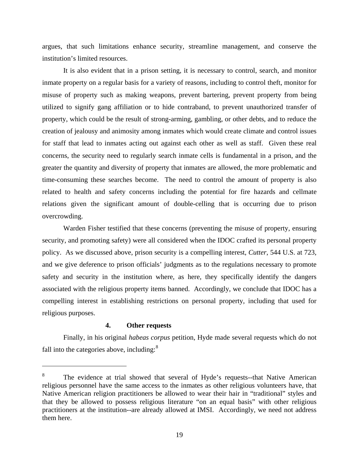argues, that such limitations enhance security, streamline management, and conserve the institution's limited resources.

 It is also evident that in a prison setting, it is necessary to control, search, and monitor inmate property on a regular basis for a variety of reasons, including to control theft, monitor for misuse of property such as making weapons, prevent bartering, prevent property from being utilized to signify gang affiliation or to hide contraband, to prevent unauthorized transfer of property, which could be the result of strong-arming, gambling, or other debts, and to reduce the creation of jealousy and animosity among inmates which would create climate and control issues for staff that lead to inmates acting out against each other as well as staff. Given these real concerns, the security need to regularly search inmate cells is fundamental in a prison, and the greater the quantity and diversity of property that inmates are allowed, the more problematic and time-consuming these searches become. The need to control the amount of property is also related to health and safety concerns including the potential for fire hazards and cellmate relations given the significant amount of double-celling that is occurring due to prison overcrowding.

 Warden Fisher testified that these concerns (preventing the misuse of property, ensuring security, and promoting safety) were all considered when the IDOC crafted its personal property policy. As we discussed above, prison security is a compelling interest, *Cutter*, 544 U.S. at 723, and we give deference to prison officials' judgments as to the regulations necessary to promote safety and security in the institution where, as here, they specifically identify the dangers associated with the religious property items banned. Accordingly, we conclude that IDOC has a compelling interest in establishing restrictions on personal property, including that used for religious purposes.

# **4. Other requests**

 $\overline{a}$ 

 Finally, in his original *habeas corpus* petition, Hyde made several requests which do not fall into the categories above, including: $8$ 

<span id="page-18-0"></span><sup>8</sup> The evidence at trial showed that several of Hyde's requests--that Native American religious personnel have the same access to the inmates as other religious volunteers have, that Native American religion practitioners be allowed to wear their hair in "traditional" styles and that they be allowed to possess religious literature "on an equal basis" with other religious practitioners at the institution--are already allowed at IMSI. Accordingly, we need not address them here.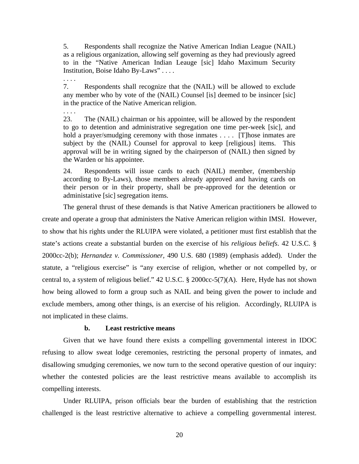5. Respondents shall recognize the Native American Indian League (NAIL) as a religious organization, allowing self governing as they had previously agreed to in the "Native American Indian Leauge [sic] Idaho Maximum Security Institution, Boise Idaho By-Laws" . . . .

7. Respondents shall recognize that the (NAIL) will be allowed to exclude any member who by vote of the (NAIL) Counsel [is] deemed to be insincer [sic] in the practice of the Native American religion.

23. The (NAIL) chairman or his appointee, will be allowed by the respondent to go to detention and administrative segregation one time per-week [sic], and hold a prayer/smudging ceremony with those inmates . . . . [T]hose inmates are subject by the (NAIL) Counsel for approval to keep [religious] items. This approval will be in writing signed by the chairperson of (NAIL) then signed by the Warden or his appointee.

24. Respondents will issue cards to each (NAIL) member, (membership according to By-Laws), those members already approved and having cards on their person or in their property, shall be pre-approved for the detention or administative [sic] segregation items.

 The general thrust of these demands is that Native American practitioners be allowed to create and operate a group that administers the Native American religion within IMSI. However, to show that his rights under the RLUIPA were violated, a petitioner must first establish that the state's actions create a substantial burden on the exercise of his *religious beliefs*. [42 U.S.C. §](http://web2.westlaw.com/find/default.wl?tf=-1&rs=WLW8.09&fn=_top&sv=Split&tc=-1&docname=42USCAS2000CC-2&ordoc=2010249231&findtype=L&db=1000546&vr=2.0&rp=%2ffind%2fdefault.wl&mt=Idaho)  [2000cc-2\(b\);](http://web2.westlaw.com/find/default.wl?tf=-1&rs=WLW8.09&fn=_top&sv=Split&tc=-1&docname=42USCAS2000CC-2&ordoc=2010249231&findtype=L&db=1000546&vr=2.0&rp=%2ffind%2fdefault.wl&mt=Idaho) *[Hernandez v. Commissioner,](http://web2.westlaw.com/find/default.wl?tf=-1&rs=WLW8.09&serialnum=1989082502&fn=_top&sv=Split&tc=-1&findtype=Y&ordoc=2010249231&db=780&vr=2.0&rp=%2ffind%2fdefault.wl&mt=Idaho)* 490 U.S. 680 (1989) (emphasis added). Under the statute, a "religious exercise" is "any exercise of religion, whether or not compelled by, or central to, a system of religious belief." [42 U.S.C. § 2000cc-5\(7\)\(A\)](http://web2.westlaw.com/find/default.wl?tf=-1&rs=WLW8.09&fn=_top&sv=Split&tc=-1&docname=42USCAS2000CC-5&ordoc=2010249231&findtype=L&db=1000546&vr=2.0&rp=%2ffind%2fdefault.wl&mt=Idaho). Here, Hyde has not shown how being allowed to form a group such as NAIL and being given the power to include and exclude members, among other things, is an exercise of his religion. Accordingly, RLUIPA is not implicated in these claims.

## **b. Least restrictive means**

. . . .

. . . .

Given that we have found there exists a compelling governmental interest in IDOC refusing to allow sweat lodge ceremonies, restricting the personal property of inmates, and disallowing smudging ceremonies, we now turn to the second operative question of our inquiry: whether the contested policies are the least restrictive means available to accomplish its compelling interests.

Under RLUIPA, prison officials bear the burden of establishing that the restriction challenged is the least restrictive alternative to achieve a compelling governmental interest.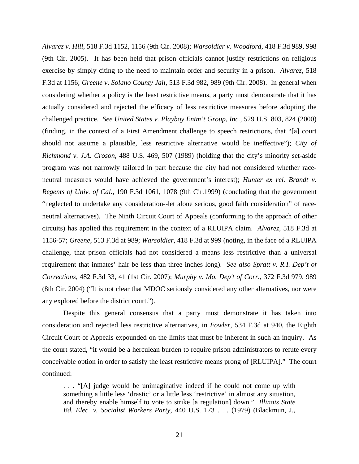*Alvarez v. Hill*, 518 F.3d 1152, 1156 (9th Cir. 2008); *Warsoldier v. Woodford*, 418 F.3d 989, 998 (9th Cir. 2005). It has been held that prison officials cannot justify restrictions on religious exercise by simply citing to the need to maintain order and security in a prison. *Alvarez*, 518 F.3d at 1156; *Greene v. Solano County Jail*, 513 F.3d 982, 989 (9th Cir. 2008). In general when considering whether a policy is the least restrictive means, a party must demonstrate that it has actually considered and rejected the efficacy of less restrictive measures before adopting the challenged practice. *See [United States v. Playboy Entm't Group, Inc.,](http://www.westlaw.com/Find/Default.wl?rs=dfa1.0&vr=2.0&DB=708&FindType=Y&SerialNum=2000358279)* [529 U.S. 803, 824 \(2000\)](http://www.westlaw.com/Find/Default.wl?rs=dfa1.0&vr=2.0&DB=708&FindType=Y&SerialNum=2000358279) (finding, in the context of a First Amendment challenge to speech restrictions, that "[a] court should not assume a plausible, less restrictive alternative would be ineffective"); *[City of](http://www.westlaw.com/Find/Default.wl?rs=dfa1.0&vr=2.0&DB=708&FindType=Y&SerialNum=1989012998)  [Richmond v. J.A. Croson,](http://www.westlaw.com/Find/Default.wl?rs=dfa1.0&vr=2.0&DB=708&FindType=Y&SerialNum=1989012998)* [488 U.S. 469, 507 \(1989\)](http://www.westlaw.com/Find/Default.wl?rs=dfa1.0&vr=2.0&DB=708&FindType=Y&SerialNum=1989012998) (holding that the city's minority set-aside program was not narrowly tailored in part because the city had not considered whether raceneutral measures would have achieved the government's interest); *[Hunter ex rel. Brandt v.](http://www.westlaw.com/Find/Default.wl?rs=dfa1.0&vr=2.0&DB=506&FindType=Y&ReferencePositionType=S&SerialNum=1999207147&ReferencePosition=1078)  [Regents of Univ. of Cal.,](http://www.westlaw.com/Find/Default.wl?rs=dfa1.0&vr=2.0&DB=506&FindType=Y&ReferencePositionType=S&SerialNum=1999207147&ReferencePosition=1078)* [190 F.3d 1061, 1078 \(9th Cir.1999\)](http://www.westlaw.com/Find/Default.wl?rs=dfa1.0&vr=2.0&DB=506&FindType=Y&ReferencePositionType=S&SerialNum=1999207147&ReferencePosition=1078) (concluding that the government "neglected to undertake any consideration--let alone serious, good faith consideration" of raceneutral alternatives). The Ninth Circuit Court of Appeals (conforming to the approach of other circuits) has applied this requirement in the context of a RLUIPA claim. *Alvarez*, 518 F.3d at 1156-57; *Greene*, 513 F.3d at 989; *Warsoldier*, 418 F.3d at 999 (noting, in the face of a RLUIPA challenge, that prison officials had not considered a means less restrictive than a universal requirement that inmates' hair be less than three inches long). *See also Spratt v. R.I. Dep't of Corrections*, 482 F.3d 33, 41 (1st Cir. 2007); *[Murphy v. Mo. Dep't of Corr.,](http://www.westlaw.com/Find/Default.wl?rs=dfa1.0&vr=2.0&DB=506&FindType=Y&ReferencePositionType=S&SerialNum=2004613160&ReferencePosition=988)* [372 F.3d 979, 989](http://www.westlaw.com/Find/Default.wl?rs=dfa1.0&vr=2.0&DB=506&FindType=Y&ReferencePositionType=S&SerialNum=2004613160&ReferencePosition=988)  [\(8th Cir. 2004\)](http://www.westlaw.com/Find/Default.wl?rs=dfa1.0&vr=2.0&DB=506&FindType=Y&ReferencePositionType=S&SerialNum=2004613160&ReferencePosition=988) ("It is not clear that MDOC seriously considered any other alternatives, nor were any explored before the district court.").

Despite this general consensus that a party must demonstrate it has taken into consideration and rejected less restrictive alternatives, in *Fowler*, 534 F.3d at 940, the Eighth Circuit Court of Appeals expounded on the limits that must be inherent in such an inquiry. As the court stated, "it would be a herculean burden to require prison administrators to refute every conceivable option in order to satisfy the least restrictive means prong of [RLUIPA]." The court continued:

. . . "[A] judge would be unimaginative indeed if he could not come up with something a little less 'drastic' or a little less 'restrictive' in almost any situation, and thereby enable himself to vote to strike [a regulation] down." *Illinois State Bd. Elec. v. Socialist Workers Party*, 440 U.S. 173 . . . (1979) (Blackmun, J.,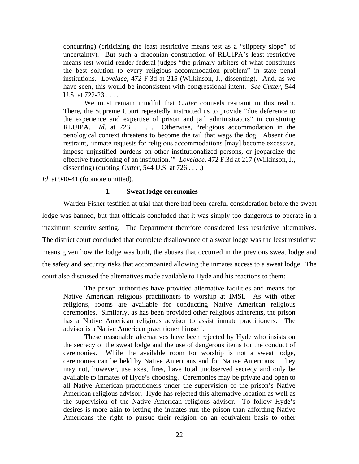concurring) (criticizing the least restrictive means test as a "slippery slope" of uncertainty). But such a draconian construction of RLUIPA's least restrictive means test would render federal judges "the primary arbiters of what constitutes the best solution to every religious accommodation problem" in state penal institutions. *Lovelace*, 472 F.3d at 215 (Wilkinson, J., dissenting). And, as we have seen, this would be inconsistent with congressional intent. *See Cutter*, 544 U.S. at 722-23 . . . .

 We must remain mindful that *Cutter* counsels restraint in this realm. There, the Supreme Court repeatedly instructed us to provide "due deference to the experience and expertise of prison and jail administrators" in construing RLUIPA. *Id*. at 723 . . . . Otherwise, "religious accommodation in the penological context threatens to become the tail that wags the dog. Absent due restraint, 'inmate requests for religious accommodations [may] become excessive, impose unjustified burdens on other institutionalized persons, or jeopardize the effective functioning of an institution.'" *Lovelace*, 472 F.3d at 217 (Wilkinson, J., dissenting) (quoting *Cutter*, 544 U.S. at 726 . . . .)

*Id.* at 940-41 (footnote omitted).

## **1. Sweat lodge ceremonies**

 Warden Fisher testified at trial that there had been careful consideration before the sweat lodge was banned, but that officials concluded that it was simply too dangerous to operate in a maximum security setting. The Department therefore considered less restrictive alternatives. The district court concluded that complete disallowance of a sweat lodge was the least restrictive means given how the lodge was built, the abuses that occurred in the previous sweat lodge and the safety and security risks that accompanied allowing the inmates access to a sweat lodge. The court also discussed the alternatives made available to Hyde and his reactions to them:

 The prison authorities have provided alternative facilities and means for Native American religious practitioners to worship at IMSI. As with other religions, rooms are available for conducting Native American religious ceremonies. Similarly, as has been provided other religious adherents, the prison has a Native American religious advisor to assist inmate practitioners. The advisor is a Native American practitioner himself.

 These reasonable alternatives have been rejected by Hyde who insists on the secrecy of the sweat lodge and the use of dangerous items for the conduct of ceremonies. While the available room for worship is not a sweat lodge, ceremonies can be held by Native Americans and for Native Americans. They may not, however, use axes, fires, have total unobserved secrecy and only be available to inmates of Hyde's choosing. Ceremonies may be private and open to all Native American practitioners under the supervision of the prison's Native American religious advisor. Hyde has rejected this alternative location as well as the supervision of the Native American religious advisor. To follow Hyde's desires is more akin to letting the inmates run the prison than affording Native Americans the right to pursue their religion on an equivalent basis to other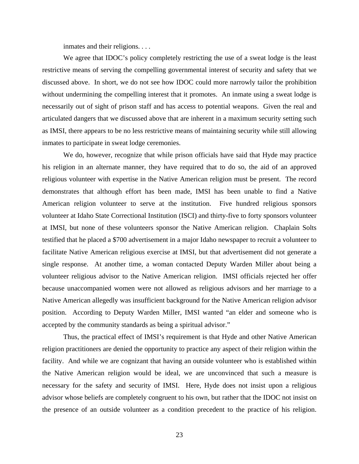inmates and their religions. . . .

We agree that IDOC's policy completely restricting the use of a sweat lodge is the least restrictive means of serving the compelling governmental interest of security and safety that we discussed above. In short, we do not see how IDOC could more narrowly tailor the prohibition without undermining the compelling interest that it promotes. An inmate using a sweat lodge is necessarily out of sight of prison staff and has access to potential weapons. Given the real and articulated dangers that we discussed above that are inherent in a maximum security setting such as IMSI, there appears to be no less restrictive means of maintaining security while still allowing inmates to participate in sweat lodge ceremonies.

We do, however, recognize that while prison officials have said that Hyde may practice his religion in an alternate manner, they have required that to do so, the aid of an approved religious volunteer with expertise in the Native American religion must be present. The record demonstrates that although effort has been made, IMSI has been unable to find a Native American religion volunteer to serve at the institution. Five hundred religious sponsors volunteer at Idaho State Correctional Institution (ISCI) and thirty-five to forty sponsors volunteer at IMSI, but none of these volunteers sponsor the Native American religion. Chaplain Solts testified that he placed a \$700 advertisement in a major Idaho newspaper to recruit a volunteer to facilitate Native American religious exercise at IMSI, but that advertisement did not generate a single response. At another time, a woman contacted Deputy Warden Miller about being a volunteer religious advisor to the Native American religion. IMSI officials rejected her offer because unaccompanied women were not allowed as religious advisors and her marriage to a Native American allegedly was insufficient background for the Native American religion advisor position. According to Deputy Warden Miller, IMSI wanted "an elder and someone who is accepted by the community standards as being a spiritual advisor."

Thus, the practical effect of IMSI's requirement is that Hyde and other Native American religion practitioners are denied the opportunity to practice any aspect of their religion within the facility. And while we are cognizant that having an outside volunteer who is established within the Native American religion would be ideal, we are unconvinced that such a measure is necessary for the safety and security of IMSI. Here, Hyde does not insist upon a religious advisor whose beliefs are completely congruent to his own, but rather that the IDOC not insist on the presence of an outside volunteer as a condition precedent to the practice of his religion.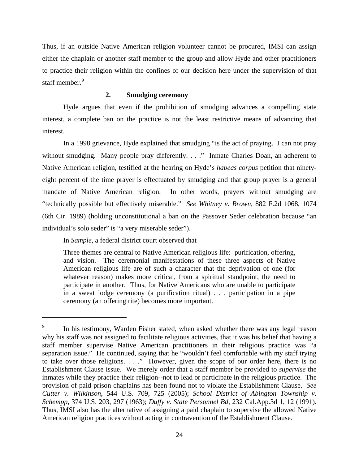Thus, if an outside Native American religion volunteer cannot be procured, IMSI can assign either the chaplain or another staff member to the group and allow Hyde and other practitioners to practice their religion within the confines of our decision here under the supervision of that staff member.<sup>[9](#page-23-0)</sup>

# **2. Smudging ceremony**

Hyde argues that even if the prohibition of smudging advances a compelling state interest, a complete ban on the practice is not the least restrictive means of advancing that interest.

In a 1998 grievance, Hyde explained that smudging "is the act of praying. I can not pray without smudging. Many people pray differently. . . ." Inmate Charles Doan, an adherent to Native American religion, testified at the hearing on Hyde's *habeas corpus* petition that ninetyeight percent of the time prayer is effectuated by smudging and that group prayer is a general mandate of Native American religion. In other words, prayers without smudging are "technically possible but effectively miserable." *See Whitney v. Brown,* 882 F.2d 1068, 1074 (6th Cir. 1989) (holding unconstitutional a ban on the Passover Seder celebration because "an individual's solo seder" is "a very miserable seder").

In *Sample,* a federal district court observed that

 $\overline{a}$ 

Three themes are central to Native American religious life: purification, offering, and vision. The ceremonial manifestations of these three aspects of Native American religious life are of such a character that the deprivation of one (for whatever reason) makes more critical, from a spiritual standpoint, the need to participate in another. Thus, for Native Americans who are unable to participate in a sweat lodge ceremony (a purification ritual) . . . participation in a pipe ceremony (an offering rite) becomes more important.

<span id="page-23-0"></span><sup>9</sup> In his testimony, Warden Fisher stated, when asked whether there was any legal reason why his staff was not assigned to facilitate religious activities, that it was his belief that having a staff member supervise Native American practitioners in their religious practice was "a separation issue." He continued, saying that he "wouldn't feel comfortable with my staff trying to take over those religions. . . ." However, given the scope of our order here, there is no Establishment Clause issue. We merely order that a staff member be provided to *supervise* the inmates while they practice their religion--not to lead or participate in the religious practice. The provision of paid prison chaplains has been found not to violate the Establishment Clause. *See Cutter v. Wilkinson*, 544 U.S. 709, 725 (2005); *[School District of Abington Township v.](http://web2.westlaw.com/find/default.wl?tf=-1&rs=WLW8.10&serialnum=1963125385&fn=_top&sv=Split&tc=-1&findtype=Y&ordoc=2017101429&db=708&vr=2.0&rp=%2ffind%2fdefault.wl&mt=Idaho)  Schempp,* [374 U.S. 203, 297 \(1963\);](http://web2.westlaw.com/find/default.wl?tf=-1&rs=WLW8.10&serialnum=1963125385&fn=_top&sv=Split&tc=-1&findtype=Y&ordoc=2017101429&db=708&vr=2.0&rp=%2ffind%2fdefault.wl&mt=Idaho) *Duffy v. State Personnel Bd,* [232 Cal.App.3d 1, 12 \(1991\)](http://web2.westlaw.com/find/default.wl?tf=-1&rs=WLW8.10&serialnum=1991123524&fn=_top&sv=Split&tc=-1&findtype=Y&ordoc=2017101429&db=227&vr=2.0&rp=%2ffind%2fdefault.wl&mt=Idaho). Thus, IMSI also has the alternative of assigning a paid chaplain to supervise the allowed Native American religion practices without acting in contravention of the Establishment Clause.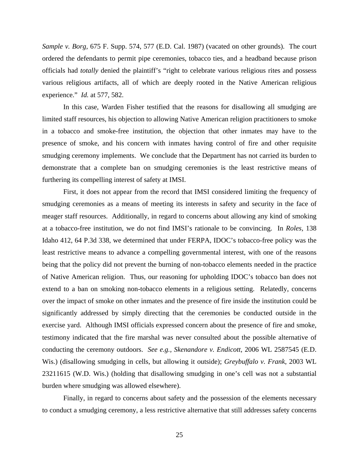*Sample v. Borg,* 675 F. Supp. 574, 577 (E.D. Cal. 1987) (vacated on other grounds). The court ordered the defendants to permit pipe ceremonies, tobacco ties, and a headband because prison officials had *totally* denied the plaintiff's "right to celebrate various religious rites and possess various religious artifacts, all of which are deeply rooted in the Native American religious experience." *Id.* at 577, 582.

 In this case, Warden Fisher testified that the reasons for disallowing all smudging are limited staff resources, his objection to allowing Native American religion practitioners to smoke in a tobacco and smoke-free institution, the objection that other inmates may have to the presence of smoke, and his concern with inmates having control of fire and other requisite smudging ceremony implements. We conclude that the Department has not carried its burden to demonstrate that a complete ban on smudging ceremonies is the least restrictive means of furthering its compelling interest of safety at IMSI.

First, it does not appear from the record that IMSI considered limiting the frequency of smudging ceremonies as a means of meeting its interests in safety and security in the face of meager staff resources. Additionally, in regard to concerns about allowing any kind of smoking at a tobacco-free institution, we do not find IMSI's rationale to be convincing. In *Roles,* 138 Idaho 412, 64 P.3d 338, we determined that under FERPA, IDOC's tobacco-free policy was the least restrictive means to advance a compelling governmental interest, with one of the reasons being that the policy did not prevent the burning of non-tobacco elements needed in the practice of Native American religion. Thus, our reasoning for upholding IDOC's tobacco ban does not extend to a ban on smoking non-tobacco elements in a religious setting. Relatedly, concerns over the impact of smoke on other inmates and the presence of fire inside the institution could be significantly addressed by simply directing that the ceremonies be conducted outside in the exercise yard. Although IMSI officials expressed concern about the presence of fire and smoke, testimony indicated that the fire marshal was never consulted about the possible alternative of conducting the ceremony outdoors. *See e.g., Skenandore v. Endicott*, 2006 WL 2587545 (E.D. Wis.) (disallowing smudging in cells, but allowing it outside); *Greybuffalo v. Frank*, 2003 WL 23211615 (W.D. Wis.) (holding that disallowing smudging in one's cell was not a substantial burden where smudging was allowed elsewhere).

Finally, in regard to concerns about safety and the possession of the elements necessary to conduct a smudging ceremony, a less restrictive alternative that still addresses safety concerns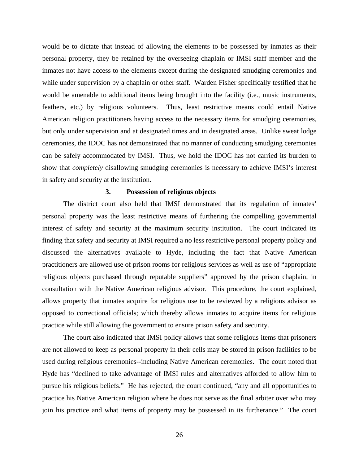would be to dictate that instead of allowing the elements to be possessed by inmates as their personal property, they be retained by the overseeing chaplain or IMSI staff member and the inmates not have access to the elements except during the designated smudging ceremonies and while under supervision by a chaplain or other staff. Warden Fisher specifically testified that he would be amenable to additional items being brought into the facility (i.e., music instruments, feathers, etc.) by religious volunteers. Thus, least restrictive means could entail Native American religion practitioners having access to the necessary items for smudging ceremonies, but only under supervision and at designated times and in designated areas. Unlike sweat lodge ceremonies, the IDOC has not demonstrated that no manner of conducting smudging ceremonies can be safely accommodated by IMSI. Thus, we hold the IDOC has not carried its burden to show that *completely* disallowing smudging ceremonies is necessary to achieve IMSI's interest in safety and security at the institution.

### **3. Possession of religious objects**

The district court also held that IMSI demonstrated that its regulation of inmates' personal property was the least restrictive means of furthering the compelling governmental interest of safety and security at the maximum security institution. The court indicated its finding that safety and security at IMSI required a no less restrictive personal property policy and discussed the alternatives available to Hyde, including the fact that Native American practitioners are allowed use of prison rooms for religious services as well as use of "appropriate religious objects purchased through reputable suppliers" approved by the prison chaplain, in consultation with the Native American religious advisor. This procedure, the court explained, allows property that inmates acquire for religious use to be reviewed by a religious advisor as opposed to correctional officials; which thereby allows inmates to acquire items for religious practice while still allowing the government to ensure prison safety and security.

 The court also indicated that IMSI policy allows that some religious items that prisoners are not allowed to keep as personal property in their cells may be stored in prison facilities to be used during religious ceremonies--including Native American ceremonies. The court noted that Hyde has "declined to take advantage of IMSI rules and alternatives afforded to allow him to pursue his religious beliefs." He has rejected, the court continued, "any and all opportunities to practice his Native American religion where he does not serve as the final arbiter over who may join his practice and what items of property may be possessed in its furtherance." The court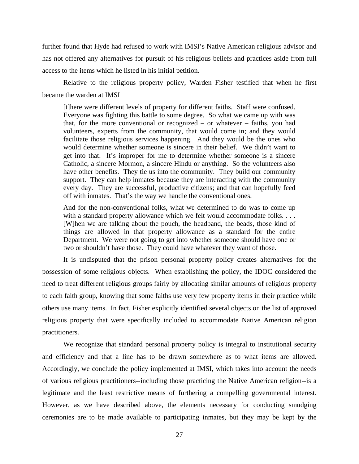further found that Hyde had refused to work with IMSI's Native American religious advisor and has not offered any alternatives for pursuit of his religious beliefs and practices aside from full access to the items which he listed in his initial petition.

 Relative to the religious property policy, Warden Fisher testified that when he first became the warden at IMSI

[t]here were different levels of property for different faiths. Staff were confused. Everyone was fighting this battle to some degree. So what we came up with was that, for the more conventional or recognized – or whatever – faiths, you had volunteers, experts from the community, that would come in; and they would facilitate those religious services happening. And they would be the ones who would determine whether someone is sincere in their belief. We didn't want to get into that. It's improper for me to determine whether someone is a sincere Catholic, a sincere Mormon, a sincere Hindu or anything. So the volunteers also have other benefits. They tie us into the community. They build our community support. They can help inmates because they are interacting with the community every day. They are successful, productive citizens; and that can hopefully feed off with inmates. That's the way we handle the conventional ones.

And for the non-conventional folks, what we determined to do was to come up with a standard property allowance which we felt would accommodate folks. . . . [W]hen we are talking about the pouch, the headband, the beads, those kind of things are allowed in that property allowance as a standard for the entire Department. We were not going to get into whether someone should have one or two or shouldn't have those. They could have whatever they want of those.

It is undisputed that the prison personal property policy creates alternatives for the possession of some religious objects. When establishing the policy, the IDOC considered the need to treat different religious groups fairly by allocating similar amounts of religious property to each faith group, knowing that some faiths use very few property items in their practice while others use many items. In fact, Fisher explicitly identified several objects on the list of approved religious property that were specifically included to accommodate Native American religion practitioners.

We recognize that standard personal property policy is integral to institutional security and efficiency and that a line has to be drawn somewhere as to what items are allowed. Accordingly, we conclude the policy implemented at IMSI, which takes into account the needs of various religious practitioners--including those practicing the Native American religion--is a legitimate and the least restrictive means of furthering a compelling governmental interest. However, as we have described above, the elements necessary for conducting smudging ceremonies are to be made available to participating inmates, but they may be kept by the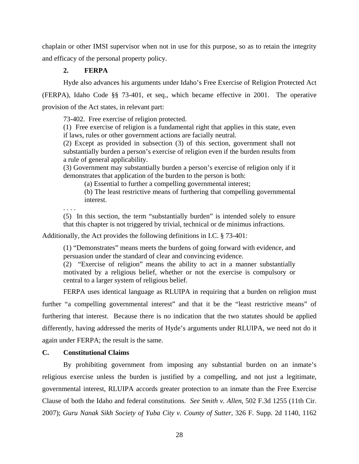chaplain or other IMSI supervisor when not in use for this purpose, so as to retain the integrity and efficacy of the personal property policy.

# **2. FERPA**

Hyde also advances his arguments under Idaho's Free Exercise of Religion Protected Act (FERPA), Idaho Code §§ 73-401, et seq., which became effective in 2001. The operative

provision of the Act states, in relevant part:

73-402. Free exercise of religion protected.

(1) Free exercise of religion is a fundamental right that applies in this state, even if laws, rules or other government actions are facially neutral.

(2) Except as provided in subsection (3) of this section, government shall not substantially burden a person's exercise of religion even if the burden results from a rule of general applicability.

(3) Government may substantially burden a person's exercise of religion only if it demonstrates that application of the burden to the person is both:

(a) Essential to further a compelling governmental interest;

(b) The least restrictive means of furthering that compelling governmental interest.

. . . .

(5) In this section, the term "substantially burden" is intended solely to ensure that this chapter is not triggered by trivial, technical or de minimus infractions.

Additionally, the Act provides the following definitions in I.C. § 73-401:

(1) "Demonstrates" means meets the burdens of going forward with evidence, and persuasion under the standard of clear and convincing evidence.

(2) "Exercise of religion" means the ability to act in a manner substantially motivated by a religious belief, whether or not the exercise is compulsory or central to a larger system of religious belief.

 FERPA uses identical language as RLUIPA in requiring that a burden on religion must further "a compelling governmental interest" and that it be the "least restrictive means" of furthering that interest. Because there is no indication that the two statutes should be applied differently, having addressed the merits of Hyde's arguments under RLUIPA, we need not do it again under FERPA; the result is the same.

# **C. Constitutional Claims**

By prohibiting government from imposing any substantial burden on an inmate's religious exercise unless the burden is justified by a compelling, and not just a legitimate, governmental interest, RLUIPA accords greater protection to an inmate than the Free Exercise Clause of both the Idaho and federal constitutions. *See Smith v. Allen*, 502 F.3d 1255 (11th Cir. 2007); *[Guru Nanak Sikh Society of Yuba City v. County of Sutter,](http://www.westlaw.com/Find/Default.wl?rs=dfa1.0&vr=2.0&DB=4637&FindType=Y&ReferencePositionType=S&SerialNum=2004742104&ReferencePosition=1162)* [326 F. Supp. 2d 1140, 1162](http://www.westlaw.com/Find/Default.wl?rs=dfa1.0&vr=2.0&DB=4637&FindType=Y&ReferencePositionType=S&SerialNum=2004742104&ReferencePosition=1162)